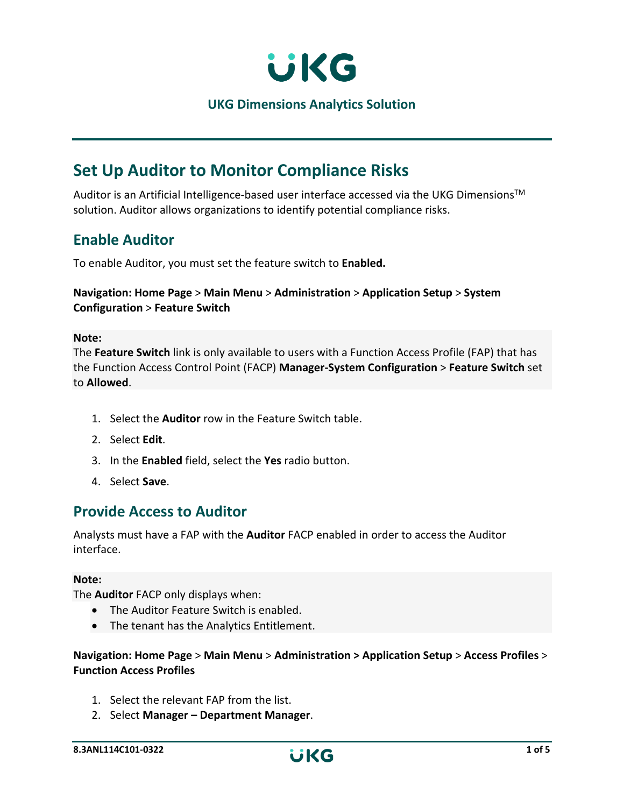

**UKG Dimensions Analytics Solution**

# **Set Up Auditor to Monitor Compliance Risks**

Auditor is an Artificial Intelligence-based user interface accessed via the UKG Dimensions<sup>™</sup> solution. Auditor allows organizations to identify potential compliance risks.

## **Enable Auditor**

To enable Auditor, you must set the feature switch to **Enabled.**

## **Navigation: Home Page** > **Main Menu** > **Administration** > **Application Setup** > **System Configuration** > **Feature Switch**

### **Note:**

The **Feature Switch** link is only available to users with a Function Access Profile (FAP) that has the Function Access Control Point (FACP) **Manager-System Configuration** > **Feature Switch** set to **Allowed**.

- 1. Select the **Auditor** row in the Feature Switch table.
- 2. Select **Edit**.
- 3. In the **Enabled** field, select the **Yes** radio button.
- 4. Select **Save**.

## **Provide Access to Auditor**

Analysts must have a FAP with the **Auditor** FACP enabled in order to access the Auditor interface.

### **Note:**

The **Auditor** FACP only displays when:

- The Auditor Feature Switch is enabled.
- The tenant has the Analytics Entitlement.

### **Navigation: Home Page** > **Main Menu** > **Administration > Application Setup** > **Access Profiles** > **Function Access Profiles**

- 1. Select the relevant FAP from the list.
- 2. Select **Manager – Department Manager**.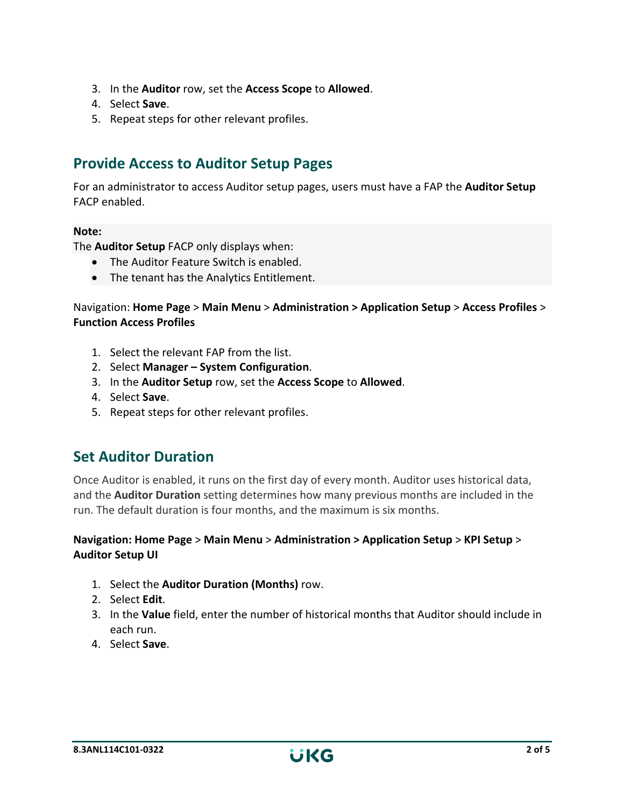- 3. In the **Auditor** row, set the **Access Scope** to **Allowed**.
- 4. Select **Save**.
- 5. Repeat steps for other relevant profiles.

# **Provide Access to Auditor Setup Pages**

For an administrator to access Auditor setup pages, users must have a FAP the **Auditor Setup** FACP enabled.

### **Note:**

The **Auditor Setup** FACP only displays when:

- The Auditor Feature Switch is enabled.
- The tenant has the Analytics Entitlement.

Navigation: **Home Page** > **Main Menu** > **Administration > Application Setup** > **Access Profiles** > **Function Access Profiles**

- 1. Select the relevant FAP from the list.
- 2. Select **Manager – System Configuration**.
- 3. In the **Auditor Setup** row, set the **Access Scope** to **Allowed**.
- 4. Select **Save**.
- 5. Repeat steps for other relevant profiles.

## **Set Auditor Duration**

Once Auditor is enabled, it runs on the first day of every month. Auditor uses historical data, and the **Auditor Duration** setting determines how many previous months are included in the run. The default duration is four months, and the maximum is six months.

### **Navigation: Home Page** > **Main Menu** > **Administration > Application Setup** > **KPI Setup** > **Auditor Setup UI**

- 1. Select the **Auditor Duration (Months)** row.
- 2. Select **Edit**.
- 3. In the **Value** field, enter the number of historical months that Auditor should include in each run.
- 4. Select **Save**.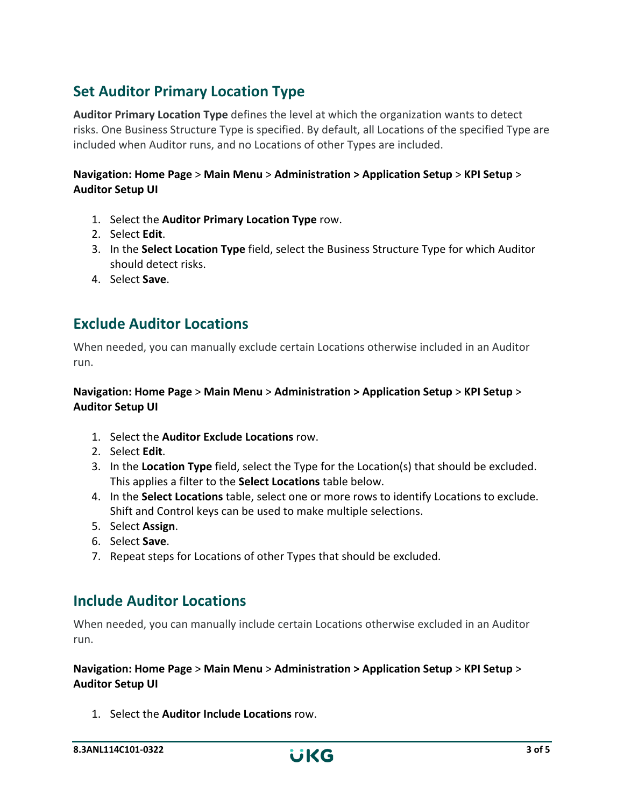# **Set Auditor Primary Location Type**

**Auditor Primary Location Type** defines the level at which the organization wants to detect risks. One Business Structure Type is specified. By default, all Locations of the specified Type are included when Auditor runs, and no Locations of other Types are included.

## **Navigation: Home Page** > **Main Menu** > **Administration > Application Setup** > **KPI Setup** > **Auditor Setup UI**

- 1. Select the **Auditor Primary Location Type** row.
- 2. Select **Edit**.
- 3. In the **Select Location Type** field, select the Business Structure Type for which Auditor should detect risks.
- 4. Select **Save**.

# **Exclude Auditor Locations**

When needed, you can manually exclude certain Locations otherwise included in an Auditor run.

### **Navigation: Home Page** > **Main Menu** > **Administration > Application Setup** > **KPI Setup** > **Auditor Setup UI**

- 1. Select the **Auditor Exclude Locations** row.
- 2. Select **Edit**.
- 3. In the **Location Type** field, select the Type for the Location(s) that should be excluded. This applies a filter to the **Select Locations** table below.
- 4. In the **Select Locations** table, select one or more rows to identify Locations to exclude. Shift and Control keys can be used to make multiple selections.
- 5. Select **Assign**.
- 6. Select **Save**.
- 7. Repeat steps for Locations of other Types that should be excluded.

## **Include Auditor Locations**

When needed, you can manually include certain Locations otherwise excluded in an Auditor run.

**Navigation: Home Page** > **Main Menu** > **Administration > Application Setup** > **KPI Setup** > **Auditor Setup UI**

1. Select the **Auditor Include Locations** row.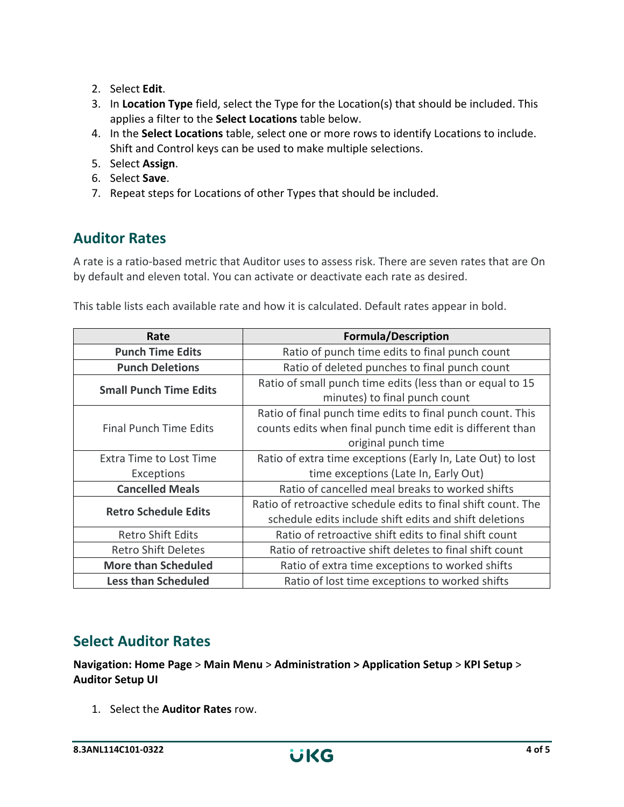- 2. Select **Edit**.
- 3. In **Location Type** field, select the Type for the Location(s) that should be included. This applies a filter to the **Select Locations** table below.
- 4. In the **Select Locations** table, select one or more rows to identify Locations to include. Shift and Control keys can be used to make multiple selections.
- 5. Select **Assign**.
- 6. Select **Save**.
- 7. Repeat steps for Locations of other Types that should be included.

# **Auditor Rates**

A rate is a ratio-based metric that Auditor uses to assess risk. There are seven rates that are On by default and eleven total. You can activate or deactivate each rate as desired.

This table lists each available rate and how it is calculated. Default rates appear in bold.

| Rate                          | <b>Formula/Description</b>                                    |
|-------------------------------|---------------------------------------------------------------|
| <b>Punch Time Edits</b>       | Ratio of punch time edits to final punch count                |
| <b>Punch Deletions</b>        | Ratio of deleted punches to final punch count                 |
| <b>Small Punch Time Edits</b> | Ratio of small punch time edits (less than or equal to 15     |
|                               | minutes) to final punch count                                 |
| <b>Final Punch Time Edits</b> | Ratio of final punch time edits to final punch count. This    |
|                               | counts edits when final punch time edit is different than     |
|                               | original punch time                                           |
| Extra Time to Lost Time       | Ratio of extra time exceptions (Early In, Late Out) to lost   |
| Exceptions                    | time exceptions (Late In, Early Out)                          |
| <b>Cancelled Meals</b>        | Ratio of cancelled meal breaks to worked shifts               |
| <b>Retro Schedule Edits</b>   | Ratio of retroactive schedule edits to final shift count. The |
|                               | schedule edits include shift edits and shift deletions        |
| <b>Retro Shift Edits</b>      | Ratio of retroactive shift edits to final shift count         |
| <b>Retro Shift Deletes</b>    | Ratio of retroactive shift deletes to final shift count       |
| <b>More than Scheduled</b>    | Ratio of extra time exceptions to worked shifts               |
| <b>Less than Scheduled</b>    | Ratio of lost time exceptions to worked shifts                |

## **Select Auditor Rates**

**Navigation: Home Page** > **Main Menu** > **Administration > Application Setup** > **KPI Setup** > **Auditor Setup UI**

1. Select the **Auditor Rates** row.